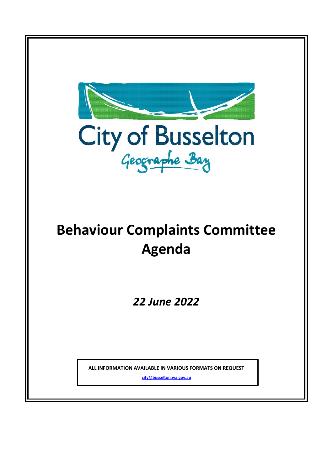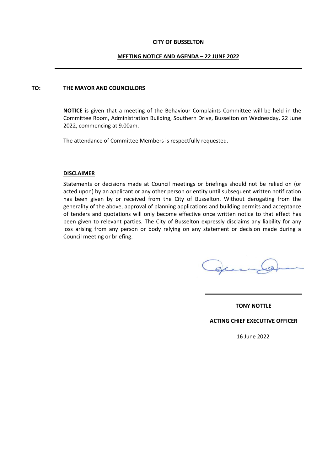#### **CITY OF BUSSELTON**

#### **MEETING NOTICE AND AGENDA – 22 JUNE 2022**

#### **TO: THE MAYOR AND COUNCILLORS**

**NOTICE** is given that a meeting of the Behaviour Complaints Committee will be held in the Committee Room, Administration Building, Southern Drive, Busselton on Wednesday, 22 June 2022, commencing at 9.00am.

The attendance of Committee Members is respectfully requested.

#### **DISCLAIMER**

Statements or decisions made at Council meetings or briefings should not be relied on (or acted upon) by an applicant or any other person or entity until subsequent written notification has been given by or received from the City of Busselton. Without derogating from the generality of the above, approval of planning applications and building permits and acceptance of tenders and quotations will only become effective once written notice to that effect has been given to relevant parties. The City of Busselton expressly disclaims any liability for any loss arising from any person or body relying on any statement or decision made during a Council meeting or briefing.

**TONY NOTTLE**

**ACTING CHIEF EXECUTIVE OFFICER**

16 June 2022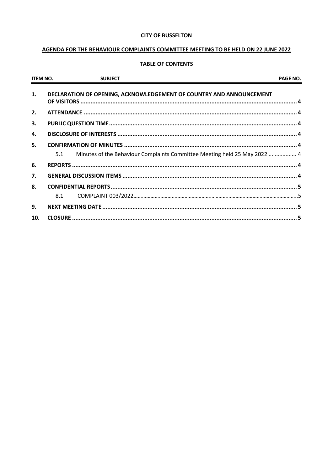### **CITY OF BUSSELTON**

# AGENDA FOR THE BEHAVIOUR COMPLAINTS COMMITTEE MEETING TO BE HELD ON 22 JUNE 2022

# **TABLE OF CONTENTS**

| <b>ITEM NO.</b> | <b>SUBJECT</b>                                                                   | PAGE NO. |
|-----------------|----------------------------------------------------------------------------------|----------|
| 1.              | DECLARATION OF OPENING, ACKNOWLEDGEMENT OF COUNTRY AND ANNOUNCEMENT              |          |
| 2.              |                                                                                  |          |
| 3.              |                                                                                  |          |
| 4.              |                                                                                  |          |
| 5.              |                                                                                  |          |
|                 | Minutes of the Behaviour Complaints Committee Meeting held 25 May 2022  4<br>5.1 |          |
| 6.              |                                                                                  |          |
| 7.              |                                                                                  |          |
| 8.              |                                                                                  |          |
|                 | 8.1                                                                              |          |
| 9.              |                                                                                  |          |
| 10.             |                                                                                  |          |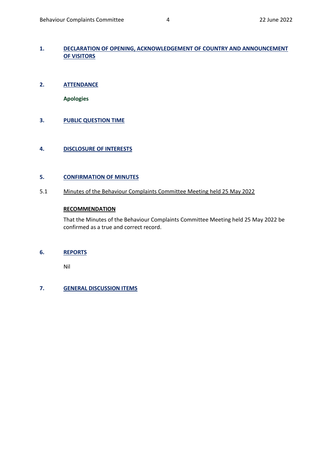# <span id="page-3-0"></span>**1. DECLARATION OF OPENING, ACKNOWLEDGEMENT OF COUNTRY AND ANNOUNCEMENT OF VISITORS**

<span id="page-3-1"></span>**2. ATTENDANCE** 

**Apologies**

<span id="page-3-2"></span>**3. PUBLIC QUESTION TIME**

# <span id="page-3-3"></span>**4. DISCLOSURE OF INTERESTS**

## <span id="page-3-4"></span>**5. CONFIRMATION OF MINUTES**

<span id="page-3-5"></span>5.1 Minutes of the Behaviour Complaints Committee Meeting held 25 May 2022

## **RECOMMENDATION**

That the Minutes of the Behaviour Complaints Committee Meeting held 25 May 2022 be confirmed as a true and correct record.

## <span id="page-3-6"></span>**6. REPORTS**

Nil

# <span id="page-3-7"></span>**7. GENERAL DISCUSSION ITEMS**